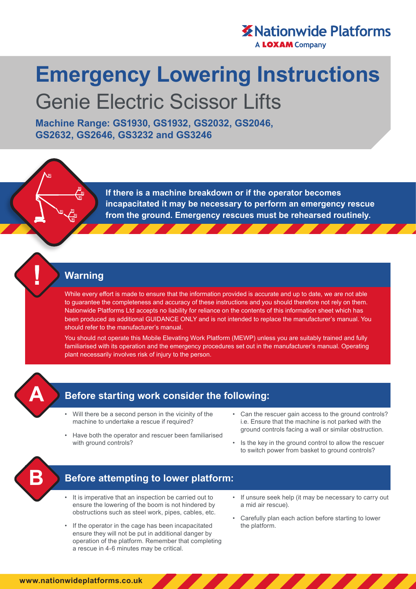# **X** Nationwide Platforms

**A LOXAM Company** 

# **Emergency Lowering Instructions**  Genie Electric Scissor Lifts

**Machine Range: GS1930, GS1932, GS2032, GS2046, GS2632, GS2646, GS3232 and GS3246**

> **If there is a machine breakdown or if the operator becomes incapacitated it may be necessary to perform an emergency rescue from the ground. Emergency rescues must be rehearsed routinely.**

#### **Warning**

While every effort is made to ensure that the information provided is accurate and up to date, we are not able to guarantee the completeness and accuracy of these instructions and you should therefore not rely on them. Nationwide Platforms Ltd accepts no liability for reliance on the contents of this information sheet which has been produced as additional GUIDANCE ONLY and is not intended to replace the manufacturer's manual. You should refer to the manufacturer's manual.

You should not operate this Mobile Elevating Work Platform (MEWP) unless you are suitably trained and fully familiarised with its operation and the emergency procedures set out in the manufacturer's manual. Operating plant necessarily involves risk of injury to the person.



### **Before starting work consider the following:**

- Will there be a second person in the vicinity of the machine to undertake a rescue if required?
- Have both the operator and rescuer been familiarised with ground controls?
- Can the rescuer gain access to the ground controls? i.e. Ensure that the machine is not parked with the ground controls facing a wall or similar obstruction.
- Is the key in the ground control to allow the rescuer to switch power from basket to ground controls?



#### **Before attempting to lower platform:**

- It is imperative that an inspection be carried out to ensure the lowering of the boom is not hindered by obstructions such as steel work, pipes, cables, etc.
- If the operator in the cage has been incapacitated ensure they will not be put in additional danger by operation of the platform. Remember that completing a rescue in 4-6 minutes may be critical.
- If unsure seek help (it may be necessary to carry out a mid air rescue).
- Carefully plan each action before starting to lower the platform.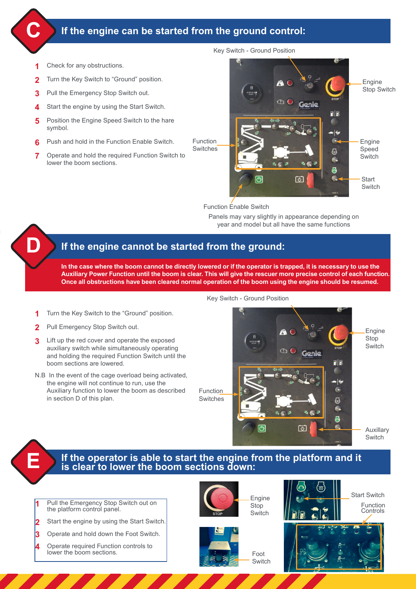#### **If the engine can be started from the ground control:**

**1** Check for any obstructions.

**C**

**D**

- **2** Turn the Key Switch to "Ground" position.
- **3** Pull the Emergency Stop Switch out.
- **4** Start the engine by using the Start Switch.
- **5** Position the Engine Speed Switch to the hare symbol.
- **6** Push and hold in the Function Enable Switch.
- **7** Operate and hold the required Function Switch to lower the boom sections.



Function Enable Switch

Panels may vary slightly in appearance depending on year and model but all have the same functions

#### **If the engine cannot be started from the ground:**

**In the case where the boom cannot be directly lowered or if the operator is trapped, it is necessary to use the Auxiliary Power Function until the boom is clear. This will give the rescuer more precise control of each function. Once all obstructions have been cleared normal operation of the boom using the engine should be resumed.**

- Turn the Key Switch to the "Ground" position.
- 2 Pull Emergency Stop Switch out.
- **3** Lift up the red cover and operate the exposed auxiliary switch while simultaneously operating and holding the required Function Switch until the boom sections are lowered.
- N.B In the event of the cage overload being activated, the engine will not continue to run, use the Auxiliary function to lower the boom as described in section D of this plan.

Key Switch - Ground Position



# **E If the operator is able to start the engine from the platform and it is clear to lower the boom sections down:**

Pull the Emergency Stop Switch out on the platform control panel.

- **2** Start the engine by using the Start Switch.
- **3** Operate and hold down the Foot Switch.
- **4** Operate required Function controls to lower the boom sections.





Foot **Switch**